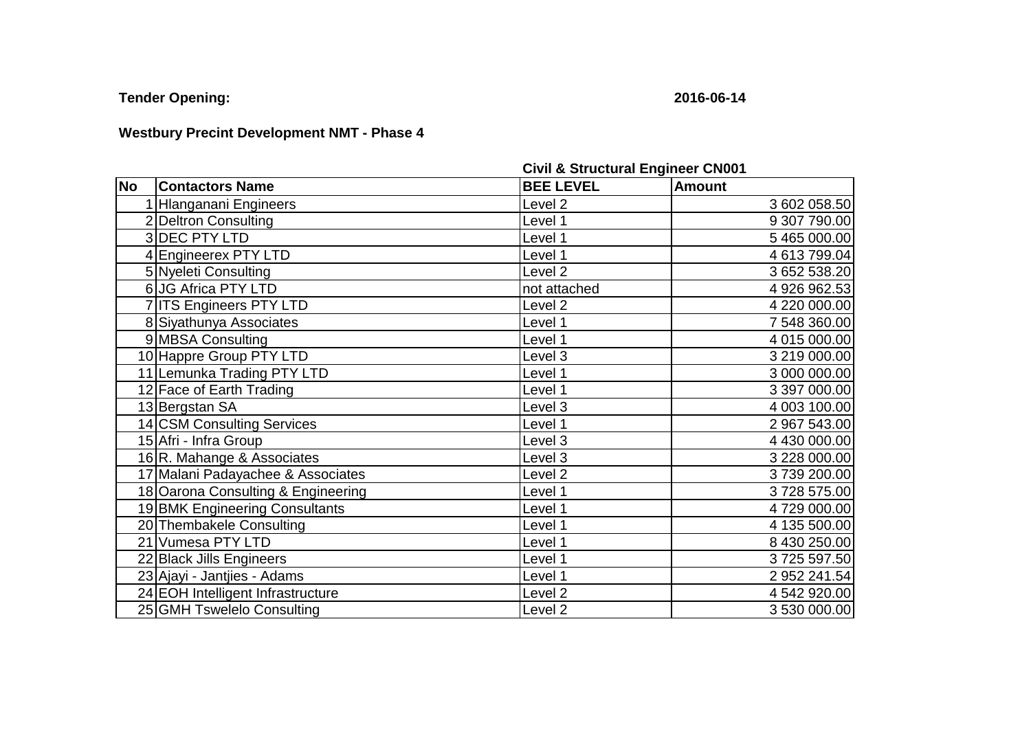**Tender Opening: 2016-06-14**

## **Westbury Precint Development NMT - Phase 4**

|           |                                    | <b>Civil &amp; Structural Engineer CNUUT</b> |               |  |
|-----------|------------------------------------|----------------------------------------------|---------------|--|
| <b>No</b> | <b>Contactors Name</b>             | <b>BEE LEVEL</b>                             | <b>Amount</b> |  |
|           | 1 Hlanganani Engineers             | Level <sub>2</sub>                           | 3 602 058.50  |  |
|           | 2 Deltron Consulting               | Level 1                                      | 9 307 790.00  |  |
|           | 3 DEC PTY LTD                      | Level 1                                      | 5 465 000.00  |  |
|           | 4 Engineerex PTY LTD               | Level 1                                      | 4 613 799.04  |  |
|           | 5 Nyeleti Consulting               | Level <sub>2</sub>                           | 3 652 538.20  |  |
|           | 6 JG Africa PTY LTD                | not attached                                 | 4 926 962.53  |  |
|           | 7 ITS Engineers PTY LTD            | Level <sub>2</sub>                           | 4 220 000.00  |  |
|           | 8 Siyathunya Associates            | Level 1                                      | 7 548 360.00  |  |
|           | 9 MBSA Consulting                  | Level 1                                      | 4 015 000.00  |  |
|           | 10 Happre Group PTY LTD            | Level 3                                      | 3 219 000.00  |  |
|           | 11 Lemunka Trading PTY LTD         | Level 1                                      | 3 000 000.00  |  |
|           | 12 Face of Earth Trading           | Level 1                                      | 3 397 000.00  |  |
|           | 13 Bergstan SA                     | Level 3                                      | 4 003 100.00  |  |
|           | 14 CSM Consulting Services         | Level 1                                      | 2 967 543.00  |  |
|           | 15 Afri - Infra Group              | Level 3                                      | 4 430 000.00  |  |
|           | 16R. Mahange & Associates          | Level 3                                      | 3 228 000.00  |  |
|           | 17 Malani Padayachee & Associates  | Level <sub>2</sub>                           | 3739 200.00   |  |
|           | 18 Oarona Consulting & Engineering | Level 1                                      | 3728575.00    |  |
|           | 19 BMK Engineering Consultants     | Level 1                                      | 4729 000.00   |  |
|           | 20 Thembakele Consulting           | Level 1                                      | 4 135 500.00  |  |
|           | 21 Vumesa PTY LTD                  | Level 1                                      | 8 430 250.00  |  |
|           | 22 Black Jills Engineers           | Level 1                                      | 3725 597.50   |  |
|           | 23 Ajayi - Jantjies - Adams        | Level 1                                      | 2 952 241.54  |  |
|           | 24 EOH Intelligent Infrastructure  | Level <sub>2</sub>                           | 4 542 920.00  |  |
|           | 25 GMH Tswelelo Consulting         | Level <sub>2</sub>                           | 3 530 000.00  |  |

**Civil & Structural Engineer CN001**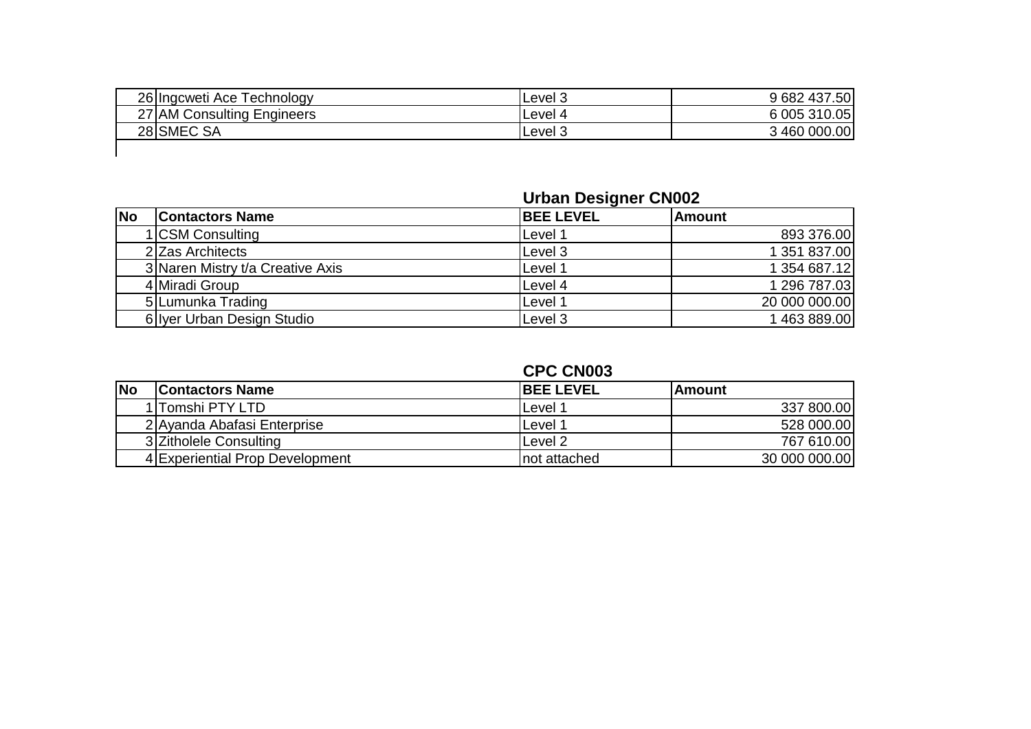| 26 Ingcweti Ace Technology | Level 3 | 9 682 437.50 |
|----------------------------|---------|--------------|
| 27 AM Consulting Engineers | Level 4 | 6 005 310.05 |
| 28 SMEC SA                 | Level 3 | 3 460 000.00 |
|                            |         |              |

## **Urban Designer CN002**

| <b>No</b> | <b>Contactors Name</b>           | <b>BEE LEVEL</b>   | <b>IAmount</b> |
|-----------|----------------------------------|--------------------|----------------|
|           | 1 CSM Consulting                 | Level 1            | 893 376.00     |
|           | 2 Zas Architects                 | Level 3            | 1 351 837.00   |
|           | 3 Naren Mistry t/a Creative Axis | Level 1            | 1 354 687.12   |
|           | 4 Miradi Group                   | Level 4            | 1 296 787.03   |
|           | 5 Lumunka Trading                | Level 1            | 20 000 000.00  |
|           | 6 Iver Urban Design Studio       | Level <sub>3</sub> | 1463889.00     |

## **CPC CN003**

| <b>No</b> | <b>Contactors Name</b>          | <b>IBEE LEVEL</b>  | lAmount       |
|-----------|---------------------------------|--------------------|---------------|
|           | 1 lTomshi PTY LTD               | Level ′            | 337 800.00    |
|           | 2 Ayanda Abafasi Enterprise     | Level <sup>.</sup> | 528 000.00    |
|           | 3 Zitholele Consulting          | Level 2            | 767 610.00    |
|           | 4 Experiential Prop Development | Inot attached      | 30 000 000.00 |